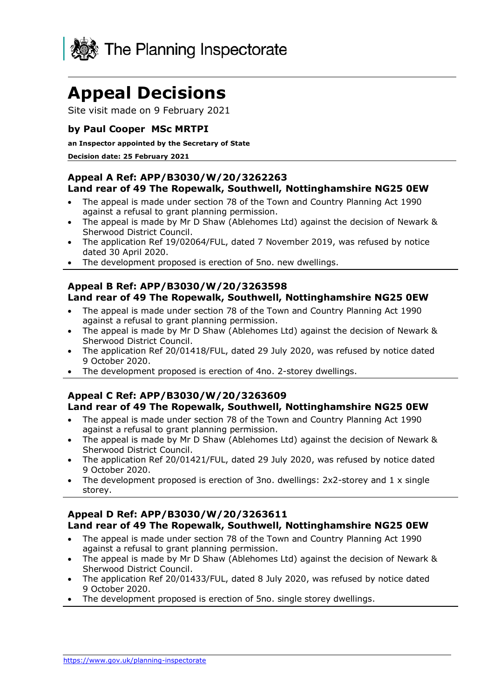

# **Appeal Decisions**

Site visit made on 9 February 2021

## **by Paul Cooper MSc MRTPI**

#### **an Inspector appointed by the Secretary of State**

#### **Decision date: 25 February 2021**

#### **Appeal A Ref: APP/B3030/W/20/3262263 Land rear of 49 The Ropewalk, Southwell, Nottinghamshire NG25 0EW**

- The appeal is made under section 78 of the Town and Country Planning Act 1990 against a refusal to grant planning permission.
- The appeal is made by Mr D Shaw (Ablehomes Ltd) against the decision of Newark & Sherwood District Council.
- The application Ref 19/02064/FUL, dated 7 November 2019, was refused by notice dated 30 April 2020.
- The development proposed is erection of 5no. new dwellings.

#### **Appeal B Ref: APP/B3030/W/20/3263598 Land rear of 49 The Ropewalk, Southwell, Nottinghamshire NG25 0EW**

- The appeal is made under section 78 of the Town and Country Planning Act 1990 against a refusal to grant planning permission.
- The appeal is made by Mr D Shaw (Ablehomes Ltd) against the decision of Newark & Sherwood District Council.
- The application Ref 20/01418/FUL, dated 29 July 2020, was refused by notice dated 9 October 2020.
- The development proposed is erection of 4no. 2-storey dwellings.

#### **Appeal C Ref: APP/B3030/W/20/3263609 Land rear of 49 The Ropewalk, Southwell, Nottinghamshire NG25 0EW**

- The appeal is made under section 78 of the Town and Country Planning Act 1990 against a refusal to grant planning permission.
- The appeal is made by Mr D Shaw (Ablehomes Ltd) against the decision of Newark & Sherwood District Council.
- The application Ref 20/01421/FUL, dated 29 July 2020, was refused by notice dated 9 October 2020.
- The development proposed is erection of 3no. dwellings:  $2x2$ -storey and  $1 \times$  single storey.

## **Appeal D Ref: APP/B3030/W/20/3263611 Land rear of 49 The Ropewalk, Southwell, Nottinghamshire NG25 0EW**

- The appeal is made under section 78 of the Town and Country Planning Act 1990 against a refusal to grant planning permission.
- The appeal is made by Mr D Shaw (Ablehomes Ltd) against the decision of Newark & Sherwood District Council.
- The application Ref 20/01433/FUL, dated 8 July 2020, was refused by notice dated 9 October 2020.
- The development proposed is erection of 5no. single storey dwellings.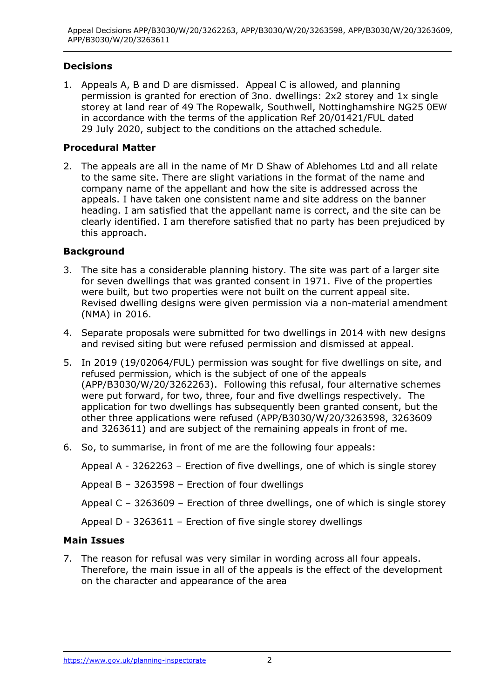# **Decisions**

1. Appeals A, B and D are dismissed. Appeal C is allowed, and planning permission is granted for erection of 3no. dwellings: 2x2 storey and 1x single storey at land rear of 49 The Ropewalk, Southwell, Nottinghamshire NG25 0EW in accordance with the terms of the application Ref 20/01421/FUL dated 29 July 2020, subject to the conditions on the attached schedule.

## **Procedural Matter**

2. The appeals are all in the name of Mr D Shaw of Ablehomes Ltd and all relate to the same site. There are slight variations in the format of the name and company name of the appellant and how the site is addressed across the appeals. I have taken one consistent name and site address on the banner heading. I am satisfied that the appellant name is correct, and the site can be clearly identified. I am therefore satisfied that no party has been prejudiced by this approach.

## **Background**

- 3. The site has a considerable planning history. The site was part of a larger site for seven dwellings that was granted consent in 1971. Five of the properties were built, but two properties were not built on the current appeal site. Revised dwelling designs were given permission via a non-material amendment (NMA) in 2016.
- 4. Separate proposals were submitted for two dwellings in 2014 with new designs and revised siting but were refused permission and dismissed at appeal.
- 5. In 2019 (19/02064/FUL) permission was sought for five dwellings on site, and refused permission, which is the subject of one of the appeals (APP/B3030/W/20/3262263). Following this refusal, four alternative schemes were put forward, for two, three, four and five dwellings respectively. The application for two dwellings has subsequently been granted consent, but the other three applications were refused (APP/B3030/W/20/3263598, 3263609 and 3263611) and are subject of the remaining appeals in front of me.
- 6. So, to summarise, in front of me are the following four appeals:

Appeal A - 3262263 – Erection of five dwellings, one of which is single storey Appeal B – 3263598 – Erection of four dwellings Appeal C – 3263609 – Erection of three dwellings, one of which is single storey Appeal D - 3263611 – Erection of five single storey dwellings

## **Main Issues**

7. The reason for refusal was very similar in wording across all four appeals. Therefore, the main issue in all of the appeals is the effect of the development on the character and appearance of the area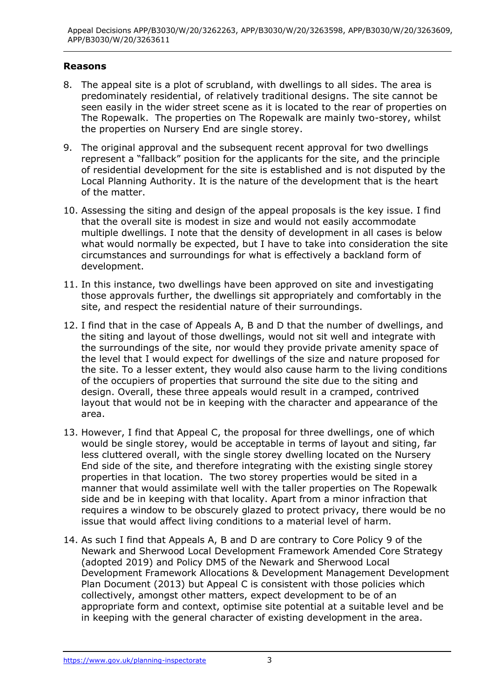## **Reasons**

- 8. The appeal site is a plot of scrubland, with dwellings to all sides. The area is predominately residential, of relatively traditional designs. The site cannot be seen easily in the wider street scene as it is located to the rear of properties on The Ropewalk. The properties on The Ropewalk are mainly two-storey, whilst the properties on Nursery End are single storey.
- 9. The original approval and the subsequent recent approval for two dwellings represent a "fallback" position for the applicants for the site, and the principle of residential development for the site is established and is not disputed by the Local Planning Authority. It is the nature of the development that is the heart of the matter.
- 10. Assessing the siting and design of the appeal proposals is the key issue. I find that the overall site is modest in size and would not easily accommodate multiple dwellings. I note that the density of development in all cases is below what would normally be expected, but I have to take into consideration the site circumstances and surroundings for what is effectively a backland form of development.
- 11. In this instance, two dwellings have been approved on site and investigating those approvals further, the dwellings sit appropriately and comfortably in the site, and respect the residential nature of their surroundings.
- 12. I find that in the case of Appeals A, B and D that the number of dwellings, and the siting and layout of those dwellings, would not sit well and integrate with the surroundings of the site, nor would they provide private amenity space of the level that I would expect for dwellings of the size and nature proposed for the site. To a lesser extent, they would also cause harm to the living conditions of the occupiers of properties that surround the site due to the siting and design. Overall, these three appeals would result in a cramped, contrived layout that would not be in keeping with the character and appearance of the area.
- 13. However, I find that Appeal C, the proposal for three dwellings, one of which would be single storey, would be acceptable in terms of layout and siting, far less cluttered overall, with the single storey dwelling located on the Nursery End side of the site, and therefore integrating with the existing single storey properties in that location. The two storey properties would be sited in a manner that would assimilate well with the taller properties on The Ropewalk side and be in keeping with that locality. Apart from a minor infraction that requires a window to be obscurely glazed to protect privacy, there would be no issue that would affect living conditions to a material level of harm.
- 14. As such I find that Appeals A, B and D are contrary to Core Policy 9 of the Newark and Sherwood Local Development Framework Amended Core Strategy (adopted 2019) and Policy DM5 of the Newark and Sherwood Local Development Framework Allocations & Development Management Development Plan Document (2013) but Appeal C is consistent with those policies which collectively, amongst other matters, expect development to be of an appropriate form and context, optimise site potential at a suitable level and be in keeping with the general character of existing development in the area.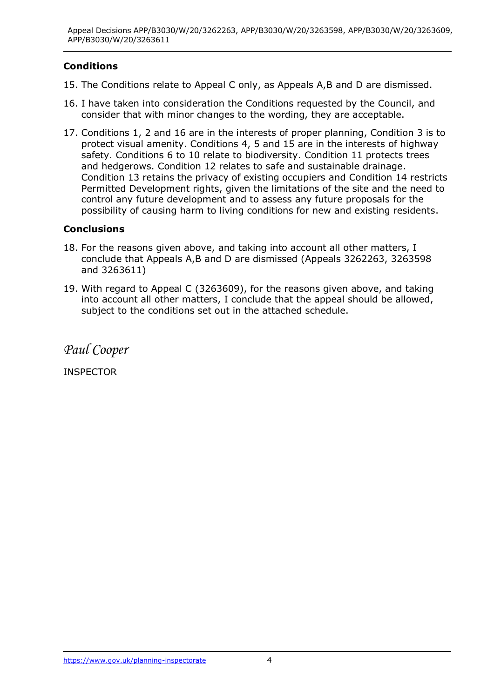# **Conditions**

- 15. The Conditions relate to Appeal C only, as Appeals A,B and D are dismissed.
- 16. I have taken into consideration the Conditions requested by the Council, and consider that with minor changes to the wording, they are acceptable.
- 17. Conditions 1, 2 and 16 are in the interests of proper planning, Condition 3 is to protect visual amenity. Conditions 4, 5 and 15 are in the interests of highway safety. Conditions 6 to 10 relate to biodiversity. Condition 11 protects trees and hedgerows. Condition 12 relates to safe and sustainable drainage. Condition 13 retains the privacy of existing occupiers and Condition 14 restricts Permitted Development rights, given the limitations of the site and the need to control any future development and to assess any future proposals for the possibility of causing harm to living conditions for new and existing residents.

## **Conclusions**

- 18. For the reasons given above, and taking into account all other matters, I conclude that Appeals A,B and D are dismissed (Appeals 3262263, 3263598 and 3263611)
- 19. With regard to Appeal C (3263609), for the reasons given above, and taking into account all other matters, I conclude that the appeal should be allowed, subject to the conditions set out in the attached schedule.

*Paul Cooper*

INSPECTOR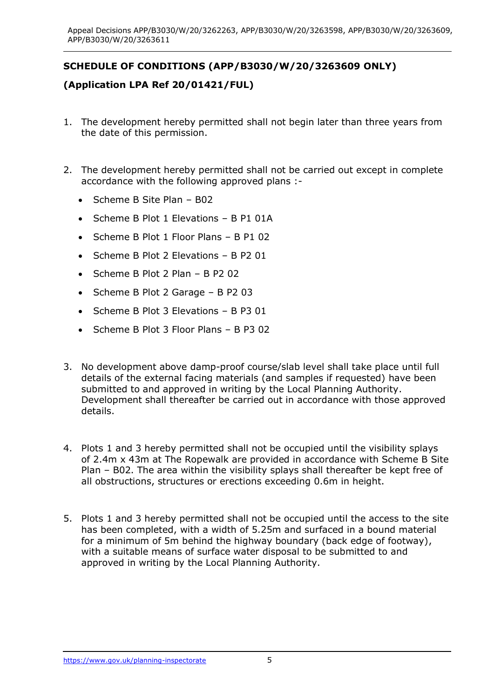# **SCHEDULE OF CONDITIONS (APP/B3030/W/20/3263609 ONLY)**

## **(Application LPA Ref 20/01421/FUL)**

- 1. The development hereby permitted shall not begin later than three years from the date of this permission.
- 2. The development hereby permitted shall not be carried out except in complete accordance with the following approved plans :-
	- Scheme B Site Plan B02
	- Scheme B Plot 1 Elevations B P1 01A
	- Scheme B Plot 1 Floor Plans B P1 02
	- Scheme B Plot 2 Elevations B P2 01
	- Scheme B Plot 2 Plan B P2 02
	- Scheme B Plot 2 Garage B P2 03
	- Scheme B Plot 3 Elevations B P3 01
	- Scheme B Plot 3 Floor Plans B P3 02
- 3. No development above damp-proof course/slab level shall take place until full details of the external facing materials (and samples if requested) have been submitted to and approved in writing by the Local Planning Authority. Development shall thereafter be carried out in accordance with those approved details.
- 4. Plots 1 and 3 hereby permitted shall not be occupied until the visibility splays of 2.4m x 43m at The Ropewalk are provided in accordance with Scheme B Site Plan – B02. The area within the visibility splays shall thereafter be kept free of all obstructions, structures or erections exceeding 0.6m in height.
- 5. Plots 1 and 3 hereby permitted shall not be occupied until the access to the site has been completed, with a width of 5.25m and surfaced in a bound material for a minimum of 5m behind the highway boundary (back edge of footway), with a suitable means of surface water disposal to be submitted to and approved in writing by the Local Planning Authority.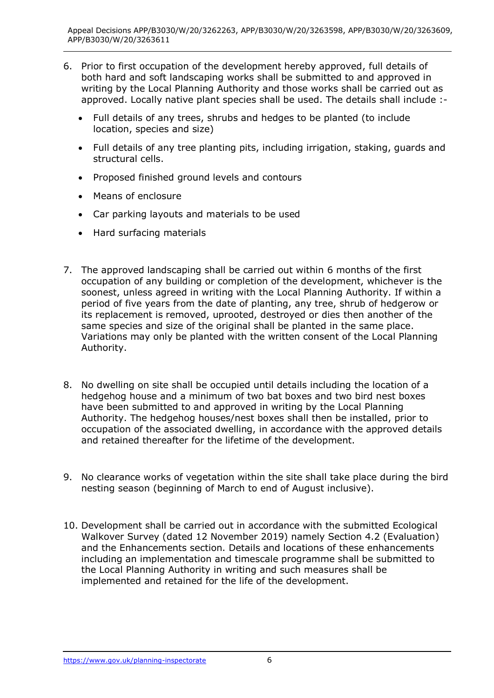- 6. Prior to first occupation of the development hereby approved, full details of both hard and soft landscaping works shall be submitted to and approved in writing by the Local Planning Authority and those works shall be carried out as approved. Locally native plant species shall be used. The details shall include :-
	- Full details of any trees, shrubs and hedges to be planted (to include location, species and size)
	- Full details of any tree planting pits, including irrigation, staking, guards and structural cells.
	- Proposed finished ground levels and contours
	- Means of enclosure
	- Car parking layouts and materials to be used
	- Hard surfacing materials
- 7. The approved landscaping shall be carried out within 6 months of the first occupation of any building or completion of the development, whichever is the soonest, unless agreed in writing with the Local Planning Authority. If within a period of five years from the date of planting, any tree, shrub of hedgerow or its replacement is removed, uprooted, destroyed or dies then another of the same species and size of the original shall be planted in the same place. Variations may only be planted with the written consent of the Local Planning Authority.
- 8. No dwelling on site shall be occupied until details including the location of a hedgehog house and a minimum of two bat boxes and two bird nest boxes have been submitted to and approved in writing by the Local Planning Authority. The hedgehog houses/nest boxes shall then be installed, prior to occupation of the associated dwelling, in accordance with the approved details and retained thereafter for the lifetime of the development.
- 9. No clearance works of vegetation within the site shall take place during the bird nesting season (beginning of March to end of August inclusive).
- 10. Development shall be carried out in accordance with the submitted Ecological Walkover Survey (dated 12 November 2019) namely Section 4.2 (Evaluation) and the Enhancements section. Details and locations of these enhancements including an implementation and timescale programme shall be submitted to the Local Planning Authority in writing and such measures shall be implemented and retained for the life of the development.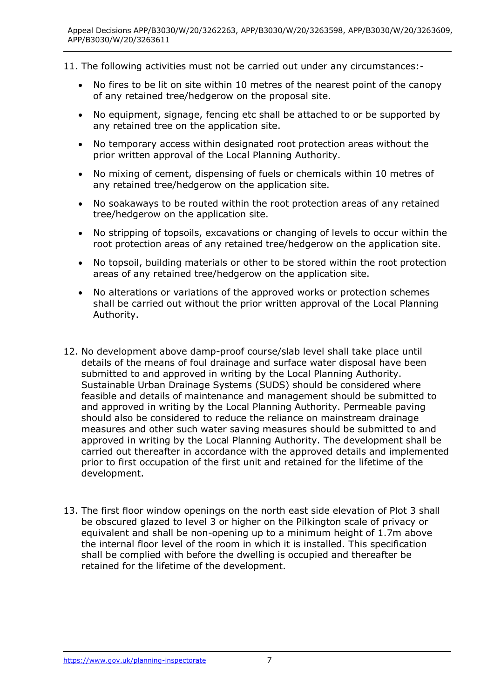11. The following activities must not be carried out under any circumstances:-

- No fires to be lit on site within 10 metres of the nearest point of the canopy of any retained tree/hedgerow on the proposal site.
- No equipment, signage, fencing etc shall be attached to or be supported by any retained tree on the application site.
- No temporary access within designated root protection areas without the prior written approval of the Local Planning Authority.
- No mixing of cement, dispensing of fuels or chemicals within 10 metres of any retained tree/hedgerow on the application site.
- No soakaways to be routed within the root protection areas of any retained tree/hedgerow on the application site.
- No stripping of topsoils, excavations or changing of levels to occur within the root protection areas of any retained tree/hedgerow on the application site.
- No topsoil, building materials or other to be stored within the root protection areas of any retained tree/hedgerow on the application site.
- No alterations or variations of the approved works or protection schemes shall be carried out without the prior written approval of the Local Planning Authority.
- 12. No development above damp-proof course/slab level shall take place until details of the means of foul drainage and surface water disposal have been submitted to and approved in writing by the Local Planning Authority. Sustainable Urban Drainage Systems (SUDS) should be considered where feasible and details of maintenance and management should be submitted to and approved in writing by the Local Planning Authority. Permeable paving should also be considered to reduce the reliance on mainstream drainage measures and other such water saving measures should be submitted to and approved in writing by the Local Planning Authority. The development shall be carried out thereafter in accordance with the approved details and implemented prior to first occupation of the first unit and retained for the lifetime of the development.
- 13. The first floor window openings on the north east side elevation of Plot 3 shall be obscured glazed to level 3 or higher on the Pilkington scale of privacy or equivalent and shall be non-opening up to a minimum height of 1.7m above the internal floor level of the room in which it is installed. This specification shall be complied with before the dwelling is occupied and thereafter be retained for the lifetime of the development.